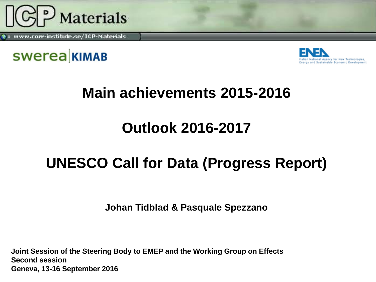

www.corr-institute.se/ICP-Materials





#### **Main achievements 2015-2016**

#### **Outlook 2016-2017**

### **UNESCO Call for Data (Progress Report)**

**Johan Tidblad & Pasquale Spezzano**

**Joint Session of the Steering Body to EMEP and the Working Group on Effects Second session Geneva, 13-16 September 2016**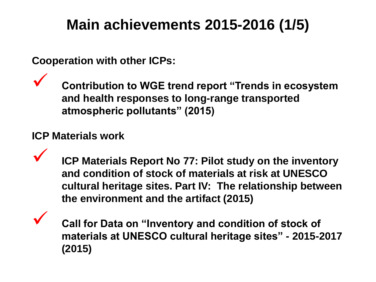### **Main achievements 2015-2016 (1/5)**

**Cooperation with other ICPs:**

 **Contribution to WGE trend report "Trends in ecosystem and health responses to long-range transported atmospheric pollutants" (2015)**

#### **ICP Materials work**

 **ICP Materials Report No 77: Pilot study on the inventory and condition of stock of materials at risk at UNESCO cultural heritage sites. Part IV: The relationship between the environment and the artifact (2015)**

 **Call for Data on "Inventory and condition of stock of materials at UNESCO cultural heritage sites" - 2015-2017 (2015)**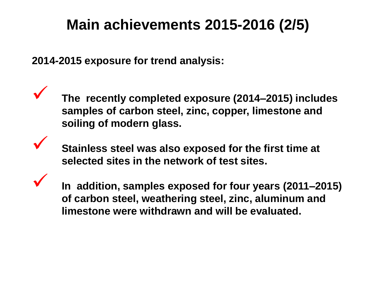### **Main achievements 2015-2016 (2/5)**

**2014-2015 exposure for trend analysis:**

 **The recently completed exposure (2014–2015) includes samples of carbon steel, zinc, copper, limestone and soiling of modern glass.** 

 **Stainless steel was also exposed for the first time at selected sites in the network of test sites.**

 **In addition, samples exposed for four years (2011–2015) of carbon steel, weathering steel, zinc, aluminum and limestone were withdrawn and will be evaluated.**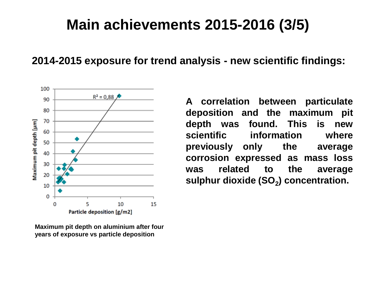#### **Main achievements 2015-2016 (3/5)**

**2014-2015 exposure for trend analysis - new scientific findings:** 



**Maximum pit depth on aluminium after four years of exposure vs particle deposition**

**A correlation between particulate deposition and the maximum pit depth was found. This is new scientific information where previously only the average corrosion expressed as mass loss was related to the average sulphur dioxide (SO<sup>2</sup> ) concentration.**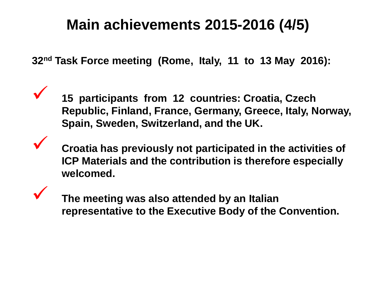#### **Main achievements 2015-2016 (4/5)**

**32nd Task Force meeting (Rome, Italy, 11 to 13 May 2016):**

 **15 participants from 12 countries: Croatia, Czech Republic, Finland, France, Germany, Greece, Italy, Norway, Spain, Sweden, Switzerland, and the UK.** 

 **Croatia has previously not participated in the activities of ICP Materials and the contribution is therefore especially welcomed.**

 **The meeting was also attended by an Italian representative to the Executive Body of the Convention.**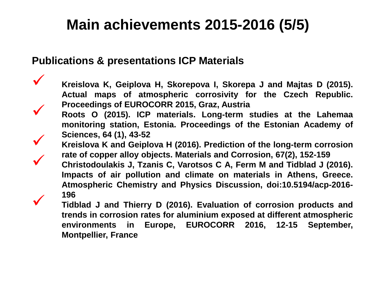### **Main achievements 2015-2016 (5/5)**

#### **Publications & presentations ICP Materials**

 **Kreislova K, Geiplova H, Skorepova I, Skorepa <sup>J</sup> and Majtas <sup>D</sup> (2015). Actual maps of atmospheric corrosivity for the Czech Republic. Proceedings of EUROCORR 2015, Graz, Austria Roots <sup>O</sup> (2015). ICP materials. Long-term studies at the Lahemaa**

**monitoring station, Estonia. Proceedings of the Estonian Academy of**

**Sciences, <sup>64</sup> (1), 43-52 Kreislova <sup>K</sup> and Geiplova <sup>H</sup> (2016). Prediction of the long-term corrosion**

Christodoulakis J, Tzanis C, Varotsos C A, Ferm M and Tidblad J (2016). **Impacts of air pollution and climate on materials in Athens, Greece. Atmospheric Chemistry and Physics Discussion, doi:10.5194/acp-2016-**

**<sup>196</sup> Tidblad <sup>J</sup> and Thierry <sup>D</sup> (2016). Evaluation of corrosion products and trends in corrosion rates for aluminium exposed at different atmospheric environments in Europe, EUROCORR 2016, 12-15 September, Montpellier, France**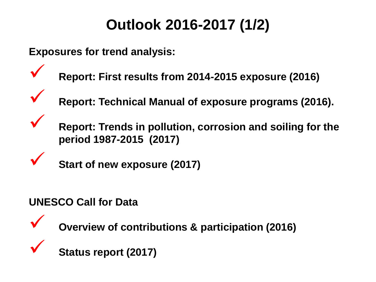# **Outlook 2016-2017 (1/2)**

**Exposures for trend analysis:**

- **Report: First results from 2014-2015 exposure (2016)**
	- **Report: Technical Manual of exposure programs (2016).**
	- **Report: Trends in pollution, corrosion and soiling for the period 1987-2015 (2017)**
	- **Start of new exposure (2017)**

#### **UNESCO Call for Data**

- 
- **Overview of contributions & participation (2016)**
- 
- **Status report (2017)**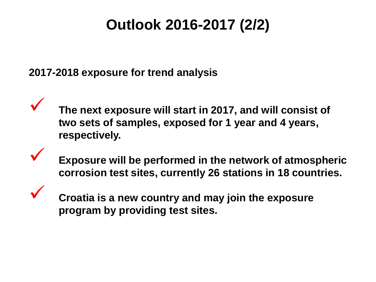# **Outlook 2016-2017 (2/2)**

**2017-2018 exposure for trend analysis**

 **The next exposure will start in 2017, and will consist of two sets of samples, exposed for 1 year and 4 years, respectively.**

 **Exposure will be performed in the network of atmospheric corrosion test sites, currently 26 stations in 18 countries.**

 **Croatia is a new country and may join the exposure program by providing test sites.**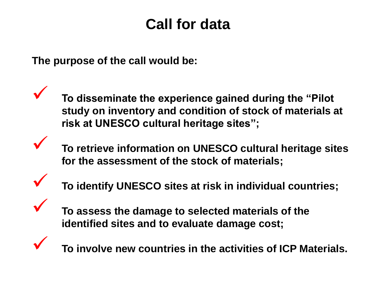#### **Call for data**

**The purpose of the call would be:**

 **To disseminate the experience gained during the "Pilot study on inventory and condition of stock of materials at risk at UNESCO cultural heritage sites";**

 **To retrieve information on UNESCO cultural heritage sites for the assessment of the stock of materials;**

**To identify UNESCO sites at risk in individual countries;**



 **To assess the damage to selected materials of the identified sites and to evaluate damage cost;**



**To involve new countries in the activities of ICP Materials.**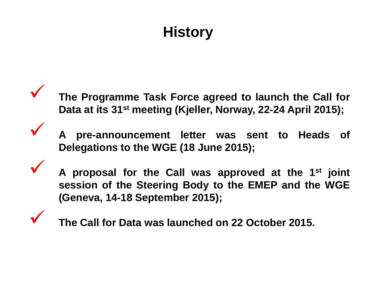# **History**

 **The Programme Task Force agreed to launch the Call for Data at its 31st meeting (Kjeller, Norway, 22-24 April 2015);**

 **<sup>A</sup> pre-announcement letter was sent to Heads of Delegations to the WGE (18 June 2015);**

 **<sup>A</sup> proposal for the Call was approved at the <sup>1</sup> st joint session of the Steering Body to the EMEP and the WGE (Geneva, 14-18 September 2015);**

**The Call for Data was launched on <sup>22</sup> October 2015.**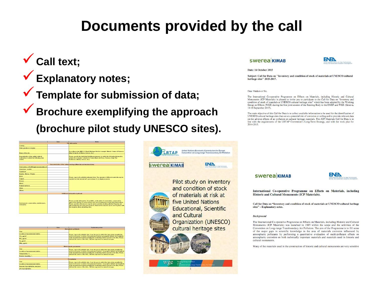#### **Documents provided by the call**

#### **Call text;**

**Explanatory notes;**

**Template for submission of data;**

**Brochure exemplifying the approach (brochure pilot study UNESCO sites).**

|                                                                                                    | Data | <b>Notes</b>                                                                                                                                                                                                                                                                                                                                                                                          |  |  |
|----------------------------------------------------------------------------------------------------|------|-------------------------------------------------------------------------------------------------------------------------------------------------------------------------------------------------------------------------------------------------------------------------------------------------------------------------------------------------------------------------------------------------------|--|--|
| <b>Site information</b>                                                                            |      |                                                                                                                                                                                                                                                                                                                                                                                                       |  |  |
| Country                                                                                            |      |                                                                                                                                                                                                                                                                                                                                                                                                       |  |  |
| State, province or region                                                                          |      |                                                                                                                                                                                                                                                                                                                                                                                                       |  |  |
| Name of the site                                                                                   |      | According to the UNESCO World Heritage List dor example: Historic Centre of Florence,<br>Italy: Acropolis of Athens, Greece; etc.)                                                                                                                                                                                                                                                                    |  |  |
| <b>Depemination of the artistic cultural</b><br>realization to which the following data<br>relates |      | Please, specify the individual building monument to which the following information<br>relates (for example: Cathedral of Santa Maria del Fiore, Florence, Italy: The<br>Parthenon, Athens, Greece, etc.),                                                                                                                                                                                            |  |  |
|                                                                                                    |      | Characterization of the cultural heritage (Materials and structural data)                                                                                                                                                                                                                                                                                                                             |  |  |
|                                                                                                    |      |                                                                                                                                                                                                                                                                                                                                                                                                       |  |  |
| Total surface of building(s) monument(s), m <sup>2</sup>                                           |      |                                                                                                                                                                                                                                                                                                                                                                                                       |  |  |
| Limestone / marble                                                                                 |      |                                                                                                                                                                                                                                                                                                                                                                                                       |  |  |
| Sandstone                                                                                          |      |                                                                                                                                                                                                                                                                                                                                                                                                       |  |  |
| <b>Render / Mortar / Plaster</b>                                                                   |      |                                                                                                                                                                                                                                                                                                                                                                                                       |  |  |
| <b>Brick</b>                                                                                       |      | Please, report all available/estimated data. The amounts of different materials may be<br>reported as total amount (m <sup>2</sup> ), percentage (%) or simply as ves/no                                                                                                                                                                                                                              |  |  |
| Copper                                                                                             |      |                                                                                                                                                                                                                                                                                                                                                                                                       |  |  |
| Bronze                                                                                             |      |                                                                                                                                                                                                                                                                                                                                                                                                       |  |  |
| Weed                                                                                               |      |                                                                                                                                                                                                                                                                                                                                                                                                       |  |  |
| <b>Painted muteres</b>                                                                             |      |                                                                                                                                                                                                                                                                                                                                                                                                       |  |  |
| Glass                                                                                              |      |                                                                                                                                                                                                                                                                                                                                                                                                       |  |  |
| Others                                                                                             |      |                                                                                                                                                                                                                                                                                                                                                                                                       |  |  |
|                                                                                                    |      |                                                                                                                                                                                                                                                                                                                                                                                                       |  |  |
| <b>Additional information (optional)</b>                                                           |      |                                                                                                                                                                                                                                                                                                                                                                                                       |  |  |
| Environment conservation maintenance.<br>restoration                                               |      | Please provide information, if avaiable, on the state of conservation, conservation<br>approaches, history of conservations and cost of maintenance/restoration intervention.<br>Please, provide references to reports and/or websites dealing with the Property and<br>with menitoring and restoration prejects. Relevant documents can be sent tegether with<br>this template when submitting data. |  |  |

|                                  | Data | <b>Explanatory notes</b>                                                                                                                                                                                                                                                                                                                                  |  |
|----------------------------------|------|-----------------------------------------------------------------------------------------------------------------------------------------------------------------------------------------------------------------------------------------------------------------------------------------------------------------------------------------------------------|--|
| <b>Atmospheric pollutants</b>    |      |                                                                                                                                                                                                                                                                                                                                                           |  |
| Year                             |      | Please, report all available data. Year: the year to which the data relate (possibly the<br>most recent year). Location of measurement station: geographic latitude and longitude<br>of the measurement station (possibly the monitoring station nearest to the site). Please,<br>indicate the source of the data. All data expressed as annual averages. |  |
| Location of measurement station  |      |                                                                                                                                                                                                                                                                                                                                                           |  |
| $SO2$ , $\mu q$ m3               |      |                                                                                                                                                                                                                                                                                                                                                           |  |
| $NO2$ , $\mu q$ m3               |      |                                                                                                                                                                                                                                                                                                                                                           |  |
| $O_{3}$ , $\mu q/m3$             |      |                                                                                                                                                                                                                                                                                                                                                           |  |
| PM <sub>tr. 197</sub> /m3        |      |                                                                                                                                                                                                                                                                                                                                                           |  |
| <b>Meteoclimatic parameters</b>  |      |                                                                                                                                                                                                                                                                                                                                                           |  |
| Year                             |      | Please, report all available data. Year: the year to which the data relate (possibly the<br>most recent year). Location of measurement station: Geographic latitude and longitude<br>of the measurement station (possibly the monitoring station nearest to the site). Please,<br>indicate the source of the data. All data expressed as annual averages. |  |
| Location of measurement station  |      |                                                                                                                                                                                                                                                                                                                                                           |  |
| Temperature, 'C                  |      |                                                                                                                                                                                                                                                                                                                                                           |  |
| Relative humidity, %             |      |                                                                                                                                                                                                                                                                                                                                                           |  |
| Precipitation                    |      |                                                                                                                                                                                                                                                                                                                                                           |  |
| Year                             |      | Please, report all available data. Year: the year to which the data relate (possibly the<br>most recent year). Location of measurement station: Geographic latitude and longitude<br>of the measurement station (possibly the monitoring station nearest to the site). Please,<br>indicate the source of the data. All data expressed as annual averages. |  |
| Location of measurement station  |      |                                                                                                                                                                                                                                                                                                                                                           |  |
| Amount of precipitation, mm/year |      |                                                                                                                                                                                                                                                                                                                                                           |  |
| oH of precipitation              |      |                                                                                                                                                                                                                                                                                                                                                           |  |



#### **SWerea KIMAB**



Date: 16 October 2015

Subject: Call for Data on "Inventory and condition of stock of materials at UNESCO cultural heritage sites" 2015-2017.

Dear Madam or Sir.

The International Co-operative Programme on Effects on Materials, including Historic and Cultural Monuments (ICP Materials) is pleased to invite you to participate to the Call for Data on "Inventory and condition of stock of materials at UNESCO cultural heritage sites" which has been adopted by the Working Group on Effects (WGE) during the first joint session of the Steering Body to the EMEP and WGE (Geneva, 14-18 September 2015).

The main objective of this Call for Data is to collect available information to be used for the identification of UNESCO cultural heritage sites that are at a potential risk of corrosion or soiling and to provide relevant data on the adverse effects of air pollution on cultural heritage materials. This ICP Materials Call for Data is in line with the requirements of the LRTAP Convention's Long-Term Strategy, and with the work plan for 2014-2015.

#### **swerea** KIMAB



International Co-operative Programme on Effects on Materials, including **Historic and Cultural Monuments (ICP Materials).** 

Call for Data on "Inventory and condition of stock of materials at UNESCO cultural heritage sites" - Explanatory notes.

#### **Background**

The International Co-operative Programme on Effects on Materials, including Historic and Cultural Monuments (ICP Materials) was launched in 1985 within the scope and the activities of the Convention on Long-range Transboundary Air Pollution. The aim of the Programme is to fill some of the major gaps in scientific knowledge in the area of materials corrosion influenced by atmospheric pollutants by performing a quantitative evaluation of multi-pollutant effects on atmospheric corrosion on both technically important materials and materials used in historic and cultural monuments

Many of the materials used in the construction of historic and cultural monuments are very sensitive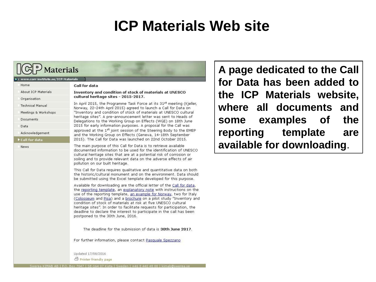#### **ICP Materials Web site**



Documents

▶ Call for data

Acknowledgement

Data

News

"Inventory and condition of stock of materials at UNESCO cultural heritage sites". A pre-announcement letter was sent to Heads of Delegations to the Working Group on Effects (WGE) on 18th June 2015 for early information purposes. A proposal for the Call was approved at the 1st joint session of the Steering Body to the EMEP and the Working Group on Effects (Geneva, 14-18th September 2015). The Call for Data was launched on 22nd October 2015.

The main purpose of this Call for Data is to retrieve available documented information to be used for the identification of UNESCO cultural heritage sites that are at a potential risk of corrosion or soiling and to provide relevant data on the adverse effects of air pollution on our built heritage.

This Call for Data requires qualitative and quantitative data on both the historic/cultural monument and on the environment. Data should be submitted using the Excel template developed for this purpose.

Available for downloading are the official letter of the Call for data, the reporting template, an explanatory note with instructions on the use of the reporting template, an example for Norway, two for Italy (Colosseum and Pisa) and a brochure on a pilot study "Inventory and condition of stock of materials at risk at five UNESCO cultural heritage sites". In order to facilitate requests for participation, the deadline to declare the interest to participate in the call has been postponed to the 30th June, 2016.

The deadline for the submission of data is 30th June 2017.

For further information, please contact Pasquale Spezzano

Updated 17/08/2016 *O* Printer friendly page

**A page dedicated to the Call for Data has been added to the ICP Materials website, where all documents and some examples of the reporting template are available for downloading**.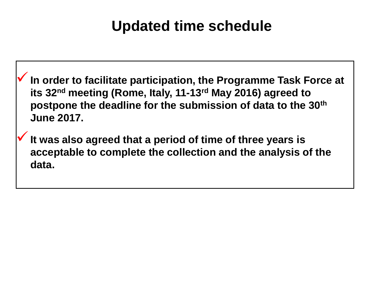#### **Updated time schedule**

**In order to facilitate participation, the Programme Task Force at its 32nd meeting (Rome, Italy, 11-13rd May 2016) agreed to postpone the deadline for the submission of data to the 30th June 2017.**

**It was also agreed that a period of time of three years is acceptable to complete the collection and the analysis of the data.**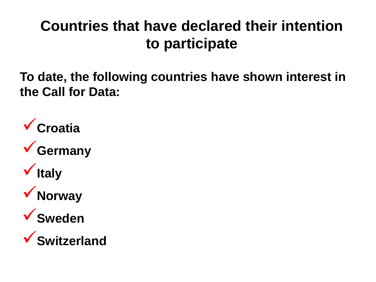### **Countries that have declared their intention to participate**

**To date, the following countries have shown interest in the Call for Data:**

**Croatia Germany Italy Norway Sweden Switzerland**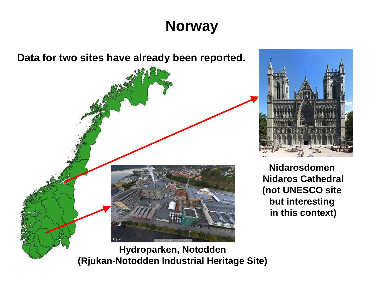# **Norway**





**Nidarosdomen Nidaros Cathedral (not UNESCO site but interesting in this context)**

**(Rjukan-Notodden Industrial Heritage Site)**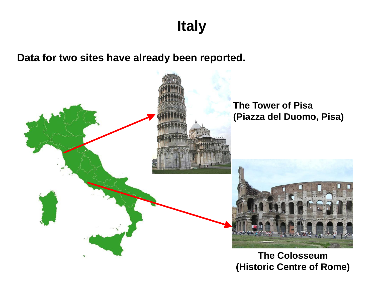**Italy**

**Data for two sites have already been reported.**

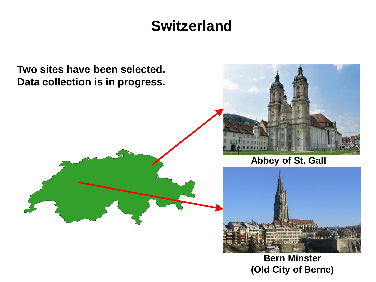#### **Switzerland**



**Bern Minster (Old City of Berne)**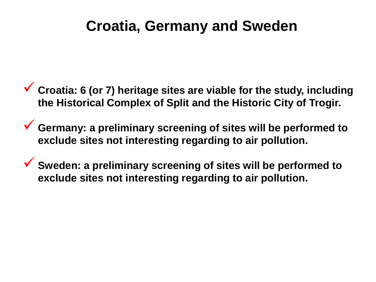#### **Croatia, Germany and Sweden**

- **Croatia: 6 (or 7) heritage sites are viable for the study, including the Historical Complex of Split and the Historic City of Trogir.**
- **Germany: a preliminary screening of sites will be performed to exclude sites not interesting regarding to air pollution.**
- **Sweden: a preliminary screening of sites will be performed to exclude sites not interesting regarding to air pollution.**